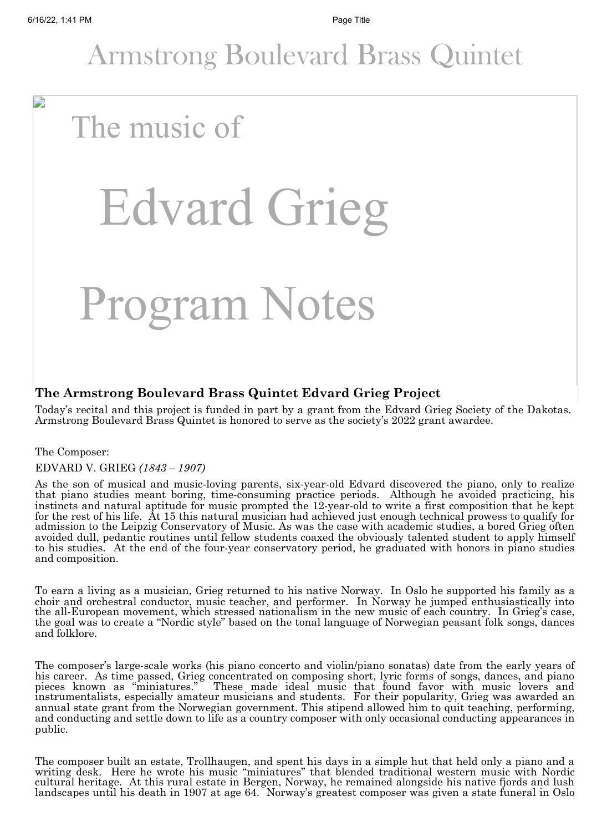D

### Armstrong Boulevard Brass Quintet

## The music of

# Edvard Grieg

## Program Notes

#### **The Armstrong Boulevard Brass Quintet Edvard Grieg Project**

Today's recital and this project is funded in part by a grant from the Edvard Grieg Society of the Dakotas. Armstrong Boulevard Brass Quintet is honored to serve as the society's 2022 grant awardee.

#### The Composer:

#### EDVARD V. GRIEG *(1843 – 1907)*

As the son of musical and music-loving parents, six-year-old Edvard discovered the piano, only to realize that piano studies meant boring, time-consuming practice periods. Although he avoided practicing, his instincts and natural aptitude for music prompted the 12-year-old to write a first composition that he kept for the rest of his life. At 15 this natural musician had achieved just enough technical prowess to qualify for admission to the Leipzig Conservatory of Music. As was the case with academic studies, a bored Grieg often avoided dull, pedantic routines until fellow students coaxed the obviously talented student to apply himself to his studies. At the end of the four-year conservatory period, he graduated with honors in piano studies and composition.

To earn a living as a musician, Grieg returned to his native Norway. In Oslo he supported his family as a choir and orchestral conductor, music teacher, and performer. In Norway he jumped enthusiastically into the all-European movement, which stressed nationalism in the new music of each country. In Grieg's case, the goal was to create a "Nordic style" based on the tonal language of Norwegian peasant folk songs, dances and folklore.

The composer's large-scale works (his piano concerto and violin/piano sonatas) date from the early years of his career. As time passed, Grieg concentrated on composing short, lyric forms of songs, dances, and piano pieces known as "miniatures." These made ideal music that found favor with music lovers and pieces known as mimatures. These made ideal music that found favor with music fovers and<br>instrumentalists, especially amateur musicians and students. For their popularity, Grieg was awarded an annual state grant from the Norwegian government. This stipend allowed him to quit teaching, performing, and conducting and settle down to life as a country composer with only occasional conducting appearances in public.

The composer built an estate, Trollhaugen, and spent his days in a simple hut that held only a piano and a writing desk. Here he wrote his music "miniatures" that blended traditional western music with Nordic writing desk. Tiere he wrote his music "miniatures" that biended traditional western music with Nordic<br>cultural heritage. At this rural estate in Bergen, Norway, he remained alongside his native fjords and lush landscapes until his death in 1907 at age 64. Norway's greatest composer was given a state funeral in Oslo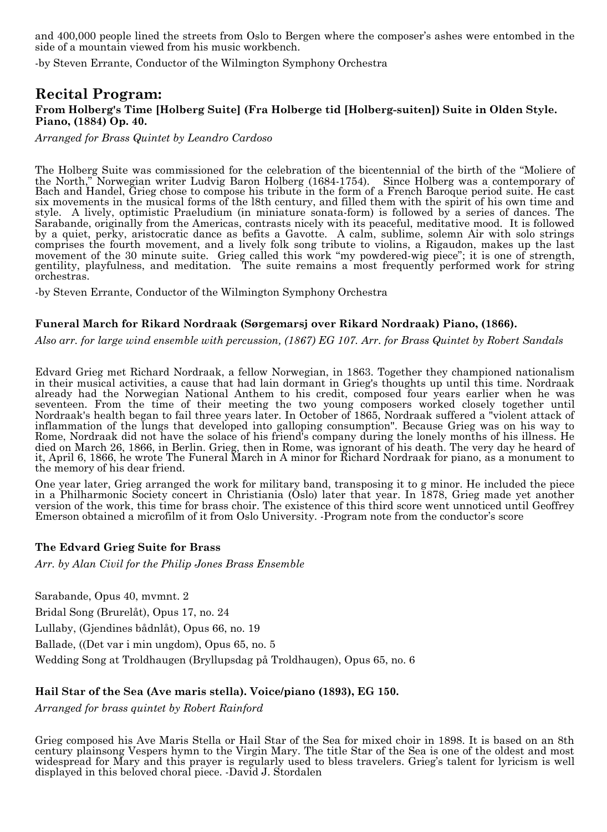and 400,000 people lined the streets from Oslo to Bergen where the composer's ashes were entombed in the side of a mountain viewed from his music workbench.

-by Steven Errante, Conductor of the Wilmington Symphony Orchestra

#### **Recital Program: From Holberg's Time [Holberg Suite] (Fra Holberge tid [Holberg-suiten]) Suite in Olden Style. Piano, (1884) Op. 40.**

*Arranged for Brass Quintet by Leandro Cardoso*

The Holberg Suite was commissioned for the celebration of the bicentennial of the birth of the "Moliere of the North," Norwegian writer Ludvig Baron Holberg (1684-1754). Since Holberg was a contemporary of Bach and Handel, Grieg chose to compose his tribute in the form of a French Baroque period suite. He cast six movements in the musical forms of the l8th century, and filled them with the spirit of his own time and style. A lively, optimistic Praeludium (in miniature sonata-form) is followed by a series of dances. The Sarabande, originally from the Americas, contrasts nicely with its peaceful, meditative mood. It is followed by a quiet, perky, aristocratic dance as befits a Gavotte. A calm, sublime, solemn Air with solo strings comprises the fourth movement, and a lively folk song tribute to violins, a Rigaudon, makes up the last movement of the 30 minute suite. Grieg called this work "my powdered-wig piece"; it is one of strength, gentility, playfulness, and meditation. The suite remains a most frequently performed work for string orchestras.

-by Steven Errante, Conductor of the Wilmington Symphony Orchestra

#### **Funeral March for Rikard Nordraak (Sørgemarsj over Rikard Nordraak) Piano, (1866).**

*Also arr. for large wind ensemble with percussion, (1867) EG 107. Arr. for Brass Quintet by Robert Sandals*

Edvard Grieg met Richard Nordraak, a fellow Norwegian, in 1863. Together they championed nationalism in their musical activities, a cause that had lain dormant in Grieg's thoughts up until this time. Nordraak already had the Norwegian National Anthem to his credit, composed four years earlier when he was seventeen. From the time of their meeting the two young composers worked closely together until Nordraak's health began to fail three years later. In October of 1865, Nordraak suffered a "violent attack of inflammation of the lungs that developed into galloping consumption". Because Grieg was on his way to Rome, Nordraak did not have the solace of his friend's company during the lonely months of his illness. He died on March 26, 1866, in Berlin. Grieg, then in Rome, was ignorant of his death. The very day he heard of it, April 6, 1866, he wrote The Funeral March in A minor for Richard Nordraak for piano, as a monument to the memory of his dear friend.

One year later, Grieg arranged the work for military band, transposing it to g minor. He included the piece in a Philharmonic Society concert in Christiania (Oslo) later that year. In 1878, Grieg made yet another version of the work, this time for brass choir. The existence of this third score went unnoticed until Geoffrey Emerson obtained a microfilm of it from Oslo University. -Program note from the conductor's score

#### **The Edvard Grieg Suite for Brass**

*Arr. by Alan Civil for the Philip Jones Brass Ensemble*

Sarabande, Opus 40, mvmnt. 2

Bridal Song (Brurelåt), Opus 17, no. 24

Lullaby, (Gjendines bådnlåt), Opus 66, no. 19

Ballade, ((Det var i min ungdom), Opus 65, no. 5

Wedding Song at Troldhaugen (Bryllupsdag på Troldhaugen), Opus 65, no. 6

#### **Hail Star of the Sea (Ave maris stella). Voice/piano (1893), EG 150.**

*Arranged for brass quintet by Robert Rainford*

Grieg composed his Ave Maris Stella or Hail Star of the Sea for mixed choir in 1898. It is based on an 8th century plainsong Vespers hymn to the Virgin Mary. The title Star of the Sea is one of the oldest and most widespread for Mary and this prayer is regularly used to bless travelers. Grieg's talent for lyricism is well displayed in this beloved choral piece. -David J. Stordalen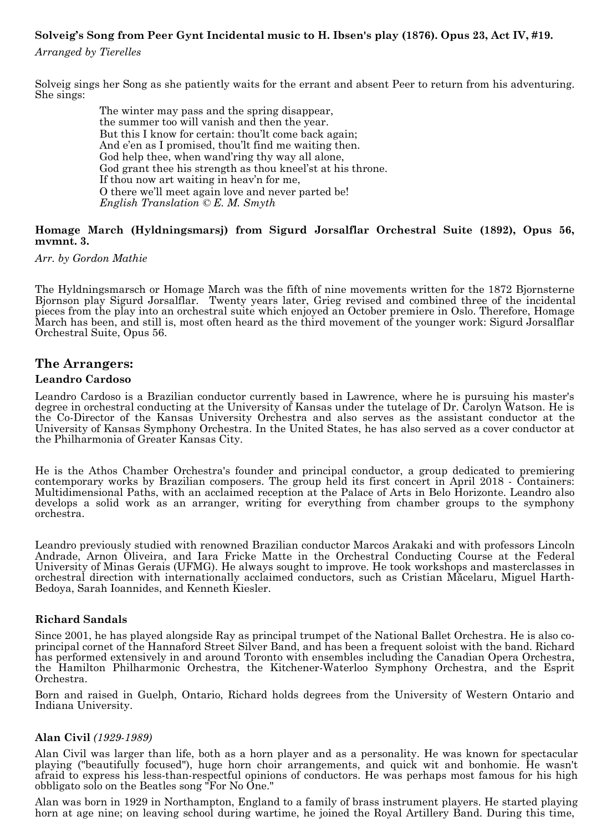#### **Solveig's Song from Peer Gynt Incidental music to H. Ibsen's play (1876). Opus 23, Act IV, #19.**

*Arranged by Tierelles*

Solveig sings her Song as she patiently waits for the errant and absent Peer to return from his adventuring. She sings:

> The winter may pass and the spring disappear, the summer too will vanish and then the year. But this I know for certain: thou'lt come back again; And e'en as I promised, thou'lt find me waiting then. God help thee, when wand'ring thy way all alone, God grant thee his strength as thou kneel'st at his throne. If thou now art waiting in heav'n for me, O there we'll meet again love and never parted be! *English Translation © E. M. Smyth*

#### **Homage March (Hyldningsmarsj) from Sigurd Jorsalflar Orchestral Suite (1892), Opus 56, mvmnt. 3.**

*Arr. by Gordon Mathie*

The Hyldningsmarsch or Homage March was the fifth of nine movements written for the 1872 Bjornsterne Bjornson play Sigurd Jorsalflar. Twenty years later, Grieg revised and combined three of the incidental pieces from the play into an orchestral suite which enjoyed an October premiere in Oslo. Therefore, Homage March has been, and still is, most often heard as the third movement of the younger work: Sigurd Jorsalflar Orchestral Suite, Opus 56.

#### **The Arrangers:**

#### **Leandro Cardoso**

Leandro Cardoso is a Brazilian conductor currently based in Lawrence, where he is pursuing his master's degree in orchestral conducting at the University of Kansas under the tutelage of Dr. Carolyn Watson. He is the Co-Director of the Kansas University Orchestra and also serves as the assistant conductor at the University of Kansas Symphony Orchestra. In the United States, he has also served as a cover conductor at the Philharmonia of Greater Kansas City.

He is the Athos Chamber Orchestra's founder and principal conductor, a group dedicated to premiering contemporary works by Brazilian composers. The group held its first concert in April 2018 - Containers: Multidimensional Paths, with an acclaimed reception at the Palace of Arts in Belo Horizonte. Leandro also develops a solid work as an arranger, writing for everything from chamber groups to the symphony orchestra.

Leandro previously studied with renowned Brazilian conductor Marcos Arakaki and with professors Lincoln Andrade, Arnon Oliveira, and Iara Fricke Matte in the Orchestral Conducting Course at the Federal University of Minas Gerais (UFMG). He always sought to improve. He took workshops and masterclasses in orchestral direction with internationally acclaimed conductors, such as Cristian Măcelaru, Miguel Harth-Bedoya, Sarah Ioannides, and Kenneth Kiesler.

#### **Richard Sandals**

Since 2001, he has played alongside Ray as principal trumpet of the National Ballet Orchestra. He is also coprincipal cornet of the Hannaford Street Silver Band, and has been a frequent soloist with the band. Richard has performed extensively in and around Toronto with ensembles including the Canadian Opera Orchestra, the Hamilton Philharmonic Orchestra, the Kitchener-Waterloo Symphony Orchestra, and the Esprit Orchestra.

Born and raised in Guelph, Ontario, Richard holds degrees from the University of Western Ontario and Indiana University.

#### **Alan Civil** *(1929-1989)*

Alan Civil was larger than life, both as a horn player and as a personality. He was known for spectacular playing ("beautifully focused"), huge horn choir arrangements, and quick wit and bonhomie. He wasn't afraid to express his less-than-respectful opinions of conductors. He was perhaps most famous for his high obbligato solo on the Beatles song "For No One."

Alan was born in 1929 in Northampton, England to a family of brass instrument players. He started playing horn at age nine; on leaving school during wartime, he joined the Royal Artillery Band. During this time,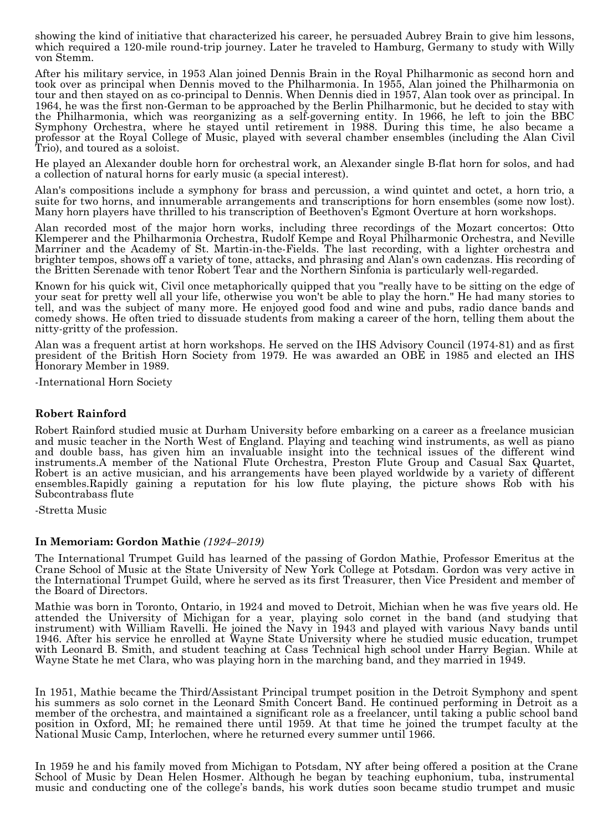showing the kind of initiative that characterized his career, he persuaded Aubrey Brain to give him lessons, which required a 120-mile round-trip journey. Later he traveled to Hamburg, Germany to study with Willy von Stemm.

After his military service, in 1953 Alan joined Dennis Brain in the Royal Philharmonic as second horn and took over as principal when Dennis moved to the Philharmonia. In 1955, Alan joined the Philharmonia on tour and then stayed on as co-principal to Dennis. When Dennis died in 1957, Alan took over as principal. In 1964, he was the first non-German to be approached by the Berlin Philharmonic, but he decided to stay with the Philharmonia, which was reorganizing as a self-governing entity. In 1966, he left to join the BBC Symphony Orchestra, where he stayed until retirement in 1988. During this time, he also became a professor at the Royal College of Music, played with several chamber ensembles (including the Alan Civil Trio), and toured as a soloist.

He played an Alexander double horn for orchestral work, an Alexander single B-flat horn for solos, and had a collection of natural horns for early music (a special interest).

Alan's compositions include a symphony for brass and percussion, a wind quintet and octet, a horn trio, a suite for two horns, and innumerable arrangements and transcriptions for horn ensembles (some now lost). Many horn players have thrilled to his transcription of Beethoven's Egmont Overture at horn workshops.

Alan recorded most of the major horn works, including three recordings of the Mozart concertos: Otto Klemperer and the Philharmonia Orchestra, Rudolf Kempe and Royal Philharmonic Orchestra, and Neville Marriner and the Academy of St. Martin-in-the-Fields. The last recording, with a lighter orchestra and brighter tempos, shows off a variety of tone, attacks, and phrasing and Alan's own cadenzas. His recording of the Britten Serenade with tenor Robert Tear and the Northern Sinfonia is particularly well-regarded.

Known for his quick wit, Civil once metaphorically quipped that you "really have to be sitting on the edge of your seat for pretty well all your life, otherwise you won't be able to play the horn." He had many stories to tell, and was the subject of many more. He enjoyed good food and wine and pubs, radio dance bands and comedy shows. He often tried to dissuade students from making a career of the horn, telling them about the nitty-gritty of the profession.

Alan was a frequent artist at horn workshops. He served on the IHS Advisory Council (1974-81) and as first president of the British Horn Society from 1979. He was awarded an OBE in 1985 and elected an IHS Honorary Member in 1989.

-International Horn Society

#### **Robert Rainford**

Robert Rainford studied music at Durham University before embarking on a career as a freelance musician and music teacher in the North West of England. Playing and teaching wind instruments, as well as piano and double bass, has given him an invaluable insight into the technical issues of the different wind instruments.A member of the National Flute Orchestra, Preston Flute Group and Casual Sax Quartet, Robert is an active musician, and his arrangements have been played worldwide by a variety of different ensembles.Rapidly gaining a reputation for his low flute playing, the picture shows Rob with his Subcontrabass flute

-Stretta Music

#### **In Memoriam: Gordon Mathie** *(1924–2019)*

The International Trumpet Guild has learned of the passing of Gordon Mathie, Professor Emeritus at the Crane School of Music at the State University of New York College at Potsdam. Gordon was very active in the International Trumpet Guild, where he served as its first Treasurer, then Vice President and member of the Board of Directors.

Mathie was born in Toronto, Ontario, in 1924 and moved to Detroit, Michian when he was five years old. He attended the University of Michigan for a year, playing solo cornet in the band (and studying that instrument) with William Ravelli. He joined the Navy in 1943 and played with various Navy bands until 1946. After his service he enrolled at Wayne State University where he studied music education, trumpet with Leonard B. Smith, and student teaching at Cass Technical high school under Harry Begian. While at Wayne State he met Clara, who was playing horn in the marching band, and they married in 1949.

In 1951, Mathie became the Third/Assistant Principal trumpet position in the Detroit Symphony and spent his summers as solo cornet in the Leonard Smith Concert Band. He continued performing in Detroit as a member of the orchestra, and maintained a significant role as a freelancer, until taking a public school band position in Oxford, MI; he remained there until 1959. At that time he joined the trumpet faculty at the National Music Camp, Interlochen, where he returned every summer until 1966.

In 1959 he and his family moved from Michigan to Potsdam, NY after being offered a position at the Crane School of Music by Dean Helen Hosmer. Although he began by teaching euphonium, tuba, instrumental music and conducting one of the college's bands, his work duties soon became studio trumpet and music